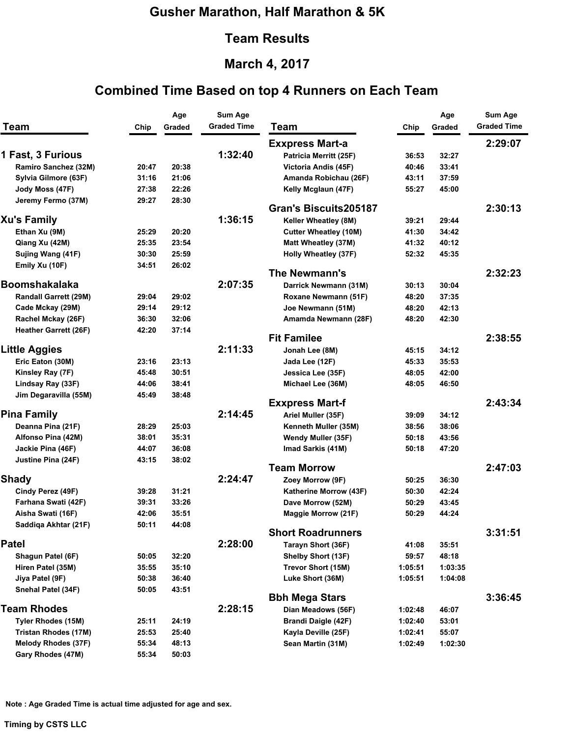### **Gusher Marathon, Half Marathon & 5K**

#### **Team Results**

# **March 4, 2017**

### **Combined Time Based on top 4 Runners on Each Team**

| <b>Team</b>                 | Chip  | Age<br>Graded | <b>Sum Age</b><br><b>Graded Time</b> | <b>Team</b>                  | Chip    | Age<br>Graded | <b>Sum Age</b><br><b>Graded Time</b> |
|-----------------------------|-------|---------------|--------------------------------------|------------------------------|---------|---------------|--------------------------------------|
|                             |       |               |                                      | <b>Exxpress Mart-a</b>       |         |               | 2:29:07                              |
| 1 Fast, 3 Furious           |       |               | 1:32:40                              | Patricia Merritt (25F)       | 36:53   | 32:27         |                                      |
| Ramiro Sanchez (32M)        | 20:47 | 20:38         |                                      | Victoria Andis (45F)         | 40:46   | 33:41         |                                      |
| Sylvia Gilmore (63F)        | 31:16 | 21:06         |                                      | Amanda Robichau (26F)        | 43:11   | 37:59         |                                      |
| Jody Moss (47F)             | 27:38 | 22:26         |                                      | Kelly Mcglaun (47F)          | 55:27   | 45:00         |                                      |
| Jeremy Fermo (37M)          | 29:27 | 28:30         |                                      |                              |         |               |                                      |
|                             |       |               |                                      | <b>Gran's Biscuits205187</b> |         |               | 2:30:13                              |
| <b>Xu's Family</b>          |       |               | 1:36:15                              | Keller Wheatley (8M)         | 39:21   | 29:44         |                                      |
| Ethan Xu (9M)               | 25:29 | 20:20         |                                      | <b>Cutter Wheatley (10M)</b> | 41:30   | 34:42         |                                      |
| Qiang Xu (42M)              | 25:35 | 23:54         |                                      | Matt Wheatley (37M)          | 41:32   | 40:12         |                                      |
| Sujing Wang (41F)           | 30:30 | 25:59         |                                      | Holly Wheatley (37F)         | 52:32   | 45:35         |                                      |
| Emily Xu (10F)              | 34:51 | 26:02         |                                      |                              |         |               |                                      |
|                             |       |               |                                      | The Newmann's                |         |               | 2:32:23                              |
| <b>Boomshakalaka</b>        |       |               | 2:07:35                              | Darrick Newmann (31M)        | 30:13   | 30:04         |                                      |
| Randall Garrett (29M)       | 29:04 | 29:02         |                                      | Roxane Newmann (51F)         | 48:20   | 37:35         |                                      |
| Cade Mckay (29M)            | 29:14 | 29:12         |                                      | Joe Newmann (51M)            | 48:20   | 42:13         |                                      |
| Rachel Mckay (26F)          | 36:30 | 32:06         |                                      | Amamda Newmann (28F)         | 48:20   | 42:30         |                                      |
| Heather Garrett (26F)       | 42:20 | 37:14         |                                      | <b>Fit Familee</b>           |         |               | 2:38:55                              |
| <b>Little Aggies</b>        |       |               | 2:11:33                              | Jonah Lee (8M)               | 45:15   | 34:12         |                                      |
| Eric Eaton (30M)            | 23:16 | 23:13         |                                      | Jada Lee (12F)               | 45:33   | 35:53         |                                      |
| Kinsley Ray (7F)            | 45:48 | 30:51         |                                      | Jessica Lee (35F)            | 48:05   | 42:00         |                                      |
| Lindsay Ray (33F)           | 44:06 | 38:41         |                                      | Michael Lee (36M)            | 48:05   | 46:50         |                                      |
| Jim Degaravilla (55M)       | 45:49 | 38:48         |                                      |                              |         |               |                                      |
|                             |       |               |                                      | <b>Exxpress Mart-f</b>       |         |               | 2:43:34                              |
| <b>Pina Family</b>          |       |               | 2:14:45                              | Ariel Muller (35F)           | 39:09   | 34:12         |                                      |
| Deanna Pina (21F)           | 28:29 | 25:03         |                                      | Kenneth Muller (35M)         | 38:56   | 38:06         |                                      |
| Alfonso Pina (42M)          | 38:01 | 35:31         |                                      | Wendy Muller (35F)           | 50:18   | 43:56         |                                      |
| Jackie Pina (46F)           | 44:07 | 36:08         |                                      | Imad Sarkis (41M)            | 50:18   | 47:20         |                                      |
| Justine Pina (24F)          | 43:15 | 38:02         |                                      |                              |         |               |                                      |
|                             |       |               |                                      | <b>Team Morrow</b>           |         |               | 2:47:03                              |
| <b>Shady</b>                |       |               | 2:24:47                              | Zoey Morrow (9F)             | 50:25   | 36:30         |                                      |
| Cindy Perez (49F)           | 39:28 | 31:21         |                                      | Katherine Morrow (43F)       | 50:30   | 42:24         |                                      |
| Farhana Swati (42F)         | 39:31 | 33:26         |                                      | Dave Morrow (52M)            | 50:29   | 43:45         |                                      |
| Aisha Swati (16F)           | 42:06 | 35:51         |                                      | Maggie Morrow (21F)          | 50:29   | 44:24         |                                      |
| Saddiqa Akhtar (21F)        | 50:11 | 44:08         |                                      | <b>Short Roadrunners</b>     |         |               | 3:31:51                              |
| <b>Patel</b>                |       |               | 2:28:00                              | Tarayn Short (36F)           | 41:08   | 35:51         |                                      |
| Shagun Patel (6F)           | 50:05 | 32:20         |                                      | Shelby Short (13F)           | 59:57   | 48:18         |                                      |
| Hiren Patel (35M)           | 35:55 | 35:10         |                                      | Trevor Short (15M)           | 1:05:51 | 1:03:35       |                                      |
| Jiya Patel (9F)             | 50:38 | 36:40         |                                      | Luke Short (36M)             | 1:05:51 | 1:04:08       |                                      |
| Snehal Patel (34F)          | 50:05 | 43:51         |                                      |                              |         |               |                                      |
|                             |       |               |                                      | <b>Bbh Mega Stars</b>        |         |               | 3:36:45                              |
| <b>Team Rhodes</b>          |       |               | 2:28:15                              | Dian Meadows (56F)           | 1:02:48 | 46:07         |                                      |
| Tyler Rhodes (15M)          | 25:11 | 24:19         |                                      | Brandi Daigle (42F)          | 1:02:40 | 53:01         |                                      |
| <b>Tristan Rhodes (17M)</b> | 25:53 | 25:40         |                                      | Kayla Deville (25F)          | 1:02:41 | 55:07         |                                      |
| <b>Melody Rhodes (37F)</b>  | 55:34 | 48:13         |                                      | Sean Martin (31M)            | 1:02:49 | 1:02:30       |                                      |
| Gary Rhodes (47M)           | 55:34 | 50:03         |                                      |                              |         |               |                                      |

**Note : Age Graded Time is actual time adjusted for age and sex.** 

**Timing by CSTS LLC**